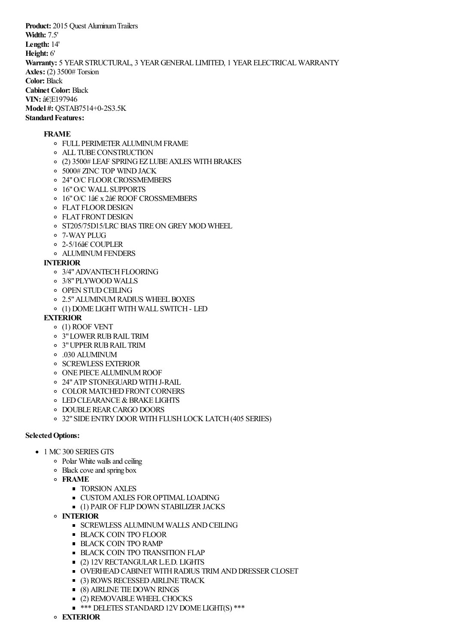**Product:** 2015 Ouest Aluminum Trailers **Width:** 7.5' **Length:** 14' **Height:** 6' **Warranty:** 5 YEARSTRUCTURAL, 3 YEARGENERAL LIMITED, 1 YEARELECTRICALWARRANTY **Axles:** (2) 3500# Torsion **Color:** Black **Cabinet Color:** Black **VIN: â€!E197946 Model #:** QSTAB7514+0-2S3.5K **\$6,138.00 Standard Features:** 

## **FRAME**

- FULL PERIMETERALUMINUMFRAME
- ALL TUBECONSTRUCTION
- $\circ$  (2) 3500# LEAF SPRING EZ LUBE AXLES WITH BRAKES
- 5000# ZINC TOP WINDJACK
- o 24" O/C FLOOR CROSSMEMBERS
- 16"O/C WALL SUPPORTS
- 16"O/C 1â€ x 2â€ ROOF CROSSMEMBERS
- **O** FLAT FLOOR DESIGN
- **O** FLAT FRONT DESIGN
- o ST205/75D15/LRC BIAS TIRE ON GREY MOD WHEEL
- 7-WAYPLUG
- 2-5/16â€ COUPLER
- o ALUMINUM FENDERS

## **INTERIOR**

- o 3/4" ADVANTECH FLOORING
- 3/8"PLYWOOD WALLS
- o OPEN STUD CEILING
- <sup>o</sup> 2.5" ALUMINUM RADIUS WHEEL BOXES
- (1) DOME LIGHTWITH WALL SWITCH- LED

## **EXTERIOR**

- (1) ROOF VENT
- o 3" LOWER RUB RAIL TRIM
- 3"UPPERRUBRAIL TRIM
- .030 ALUMINUM
- o SCREWLESS EXTERIOR
- o ONE PIECE ALUMINUM ROOF
- 24"ATP STONEGUARD WITHJ-RAIL
- **O COLOR MATCHED FRONT CORNERS**
- **O** LED CLEARANCE & BRAKE LIGHTS
- o DOUBLE REAR CARGO DOORS
- <sup>o</sup> 32" SIDE ENTRY DOOR WITH FLUSH LOCK LATCH (405 SERIES)

## **Selected Options:**

- 1 MC 300 SERIES GTS **\$6,675.00**
	- Polar White wallsand ceiling
	- Black coveand spring box
	- **FRAME**
		- **TORSION AXLES**
		- **CUSTOM AXLES FOR OPTIMAL LOADING**
		- (1) PAIROF FLIP DOWN STABILIZERJACKS
	- **INTERIOR**
		- **SCREWLESS ALUMINUM WALLS AND CEILING**
		- **BLACK COIN TPO FLOOR**
		- **BLACK COIN TPO RAMP**
		- **BLACK COIN TPO TRANSITION FLAP**
		- (2) 12VRECTANGULARL.E.D. LIGHTS
		- **OVERHEAD CABINET WITH RADIUS TRIM AND DRESSER CLOSET**
		- (3) ROWS RECESSEDAIRLINE TRACK
		- (8) AIRLINE TIEDOWN RINGS
		- **(2) REMOVABLE WHEEL CHOCKS**
		- $*$ \*\*\* DELETES STANDARD 12V DOME LIGHT(S) \*\*\*
	- **EXTERIOR**